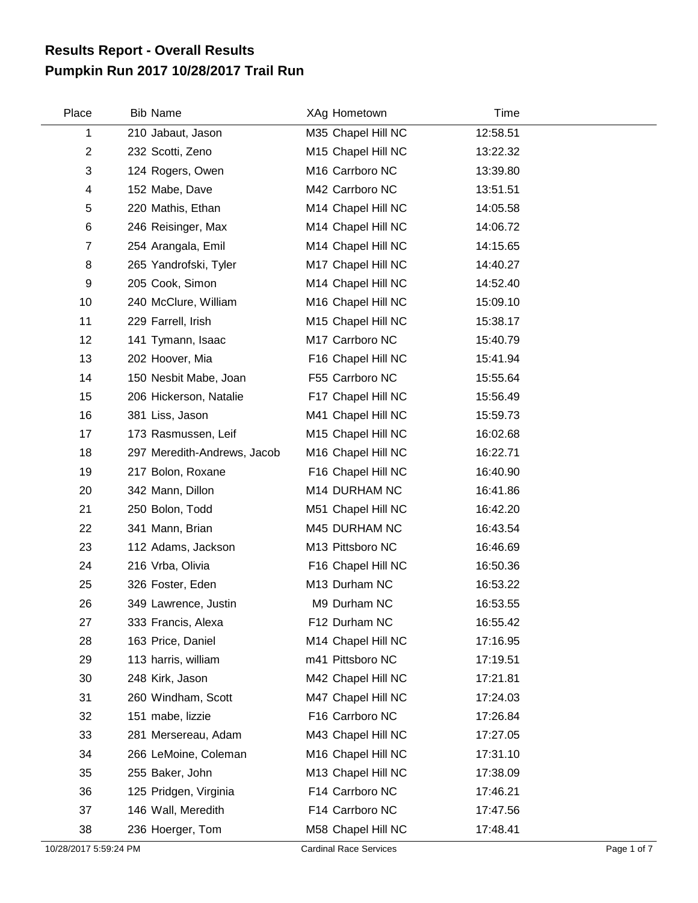## **Pumpkin Run 2017 10/28/2017 Trail Run Results Report - Overall Results**

| Place          | <b>Bib Name</b>             | XAg Hometown       | Time     |  |
|----------------|-----------------------------|--------------------|----------|--|
| 1              | 210 Jabaut, Jason           | M35 Chapel Hill NC | 12:58.51 |  |
| $\mathbf{2}$   | 232 Scotti, Zeno            | M15 Chapel Hill NC | 13:22.32 |  |
| 3              | 124 Rogers, Owen            | M16 Carrboro NC    | 13:39.80 |  |
| 4              | 152 Mabe, Dave              | M42 Carrboro NC    | 13:51.51 |  |
| 5              | 220 Mathis, Ethan           | M14 Chapel Hill NC | 14:05.58 |  |
| 6              | 246 Reisinger, Max          | M14 Chapel Hill NC | 14:06.72 |  |
| $\overline{7}$ | 254 Arangala, Emil          | M14 Chapel Hill NC | 14:15.65 |  |
| 8              | 265 Yandrofski, Tyler       | M17 Chapel Hill NC | 14:40.27 |  |
| 9              | 205 Cook, Simon             | M14 Chapel Hill NC | 14:52.40 |  |
| 10             | 240 McClure, William        | M16 Chapel Hill NC | 15:09.10 |  |
| 11             | 229 Farrell, Irish          | M15 Chapel Hill NC | 15:38.17 |  |
| 12             | 141 Tymann, Isaac           | M17 Carrboro NC    | 15:40.79 |  |
| 13             | 202 Hoover, Mia             | F16 Chapel Hill NC | 15:41.94 |  |
| 14             | 150 Nesbit Mabe, Joan       | F55 Carrboro NC    | 15:55.64 |  |
| 15             | 206 Hickerson, Natalie      | F17 Chapel Hill NC | 15:56.49 |  |
| 16             | 381 Liss, Jason             | M41 Chapel Hill NC | 15:59.73 |  |
| 17             | 173 Rasmussen, Leif         | M15 Chapel Hill NC | 16:02.68 |  |
| 18             | 297 Meredith-Andrews, Jacob | M16 Chapel Hill NC | 16:22.71 |  |
| 19             | 217 Bolon, Roxane           | F16 Chapel Hill NC | 16:40.90 |  |
| 20             | 342 Mann, Dillon            | M14 DURHAM NC      | 16:41.86 |  |
| 21             | 250 Bolon, Todd             | M51 Chapel Hill NC | 16:42.20 |  |
| 22             | 341 Mann, Brian             | M45 DURHAM NC      | 16:43.54 |  |
| 23             | 112 Adams, Jackson          | M13 Pittsboro NC   | 16:46.69 |  |
| 24             | 216 Vrba, Olivia            | F16 Chapel Hill NC | 16:50.36 |  |
| 25             | 326 Foster, Eden            | M13 Durham NC      | 16:53.22 |  |
| 26             | 349 Lawrence, Justin        | M9 Durham NC       | 16:53.55 |  |
| 27             | 333 Francis, Alexa          | F12 Durham NC      | 16:55.42 |  |
| 28             | 163 Price, Daniel           | M14 Chapel Hill NC | 17:16.95 |  |
| 29             | 113 harris, william         | m41 Pittsboro NC   | 17:19.51 |  |
| 30             | 248 Kirk, Jason             | M42 Chapel Hill NC | 17:21.81 |  |
| 31             | 260 Windham, Scott          | M47 Chapel Hill NC | 17:24.03 |  |
| 32             | 151 mabe, lizzie            | F16 Carrboro NC    | 17:26.84 |  |
| 33             | 281 Mersereau, Adam         | M43 Chapel Hill NC | 17:27.05 |  |
| 34             | 266 LeMoine, Coleman        | M16 Chapel Hill NC | 17:31.10 |  |
| 35             | 255 Baker, John             | M13 Chapel Hill NC | 17:38.09 |  |
| 36             | 125 Pridgen, Virginia       | F14 Carrboro NC    | 17:46.21 |  |
| 37             | 146 Wall, Meredith          | F14 Carrboro NC    | 17:47.56 |  |
| 38             | 236 Hoerger, Tom            | M58 Chapel Hill NC | 17:48.41 |  |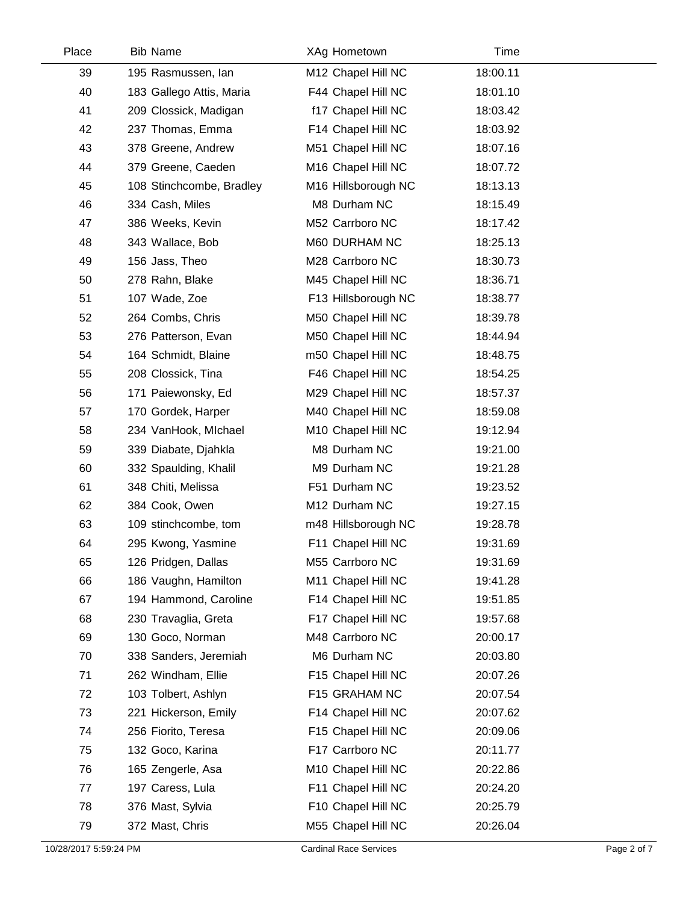| Place | <b>Bib Name</b>          | XAg Hometown        | Time     |  |
|-------|--------------------------|---------------------|----------|--|
| 39    | 195 Rasmussen, lan       | M12 Chapel Hill NC  | 18:00.11 |  |
| 40    | 183 Gallego Attis, Maria | F44 Chapel Hill NC  | 18:01.10 |  |
| 41    | 209 Clossick, Madigan    | f17 Chapel Hill NC  | 18:03.42 |  |
| 42    | 237 Thomas, Emma         | F14 Chapel Hill NC  | 18:03.92 |  |
| 43    | 378 Greene, Andrew       | M51 Chapel Hill NC  | 18:07.16 |  |
| 44    | 379 Greene, Caeden       | M16 Chapel Hill NC  | 18:07.72 |  |
| 45    | 108 Stinchcombe, Bradley | M16 Hillsborough NC | 18:13.13 |  |
| 46    | 334 Cash, Miles          | M8 Durham NC        | 18:15.49 |  |
| 47    | 386 Weeks, Kevin         | M52 Carrboro NC     | 18:17.42 |  |
| 48    | 343 Wallace, Bob         | M60 DURHAM NC       | 18:25.13 |  |
| 49    | 156 Jass, Theo           | M28 Carrboro NC     | 18:30.73 |  |
| 50    | 278 Rahn, Blake          | M45 Chapel Hill NC  | 18:36.71 |  |
| 51    | 107 Wade, Zoe            | F13 Hillsborough NC | 18:38.77 |  |
| 52    | 264 Combs, Chris         | M50 Chapel Hill NC  | 18:39.78 |  |
| 53    | 276 Patterson, Evan      | M50 Chapel Hill NC  | 18:44.94 |  |
| 54    | 164 Schmidt, Blaine      | m50 Chapel Hill NC  | 18:48.75 |  |
| 55    | 208 Clossick, Tina       | F46 Chapel Hill NC  | 18:54.25 |  |
| 56    | 171 Paiewonsky, Ed       | M29 Chapel Hill NC  | 18:57.37 |  |
| 57    | 170 Gordek, Harper       | M40 Chapel Hill NC  | 18:59.08 |  |
| 58    | 234 VanHook, Michael     | M10 Chapel Hill NC  | 19:12.94 |  |
| 59    | 339 Diabate, Djahkla     | M8 Durham NC        | 19:21.00 |  |
| 60    | 332 Spaulding, Khalil    | M9 Durham NC        | 19:21.28 |  |
| 61    | 348 Chiti, Melissa       | F51 Durham NC       | 19:23.52 |  |
| 62    | 384 Cook, Owen           | M12 Durham NC       | 19:27.15 |  |
| 63    | 109 stinchcombe, tom     | m48 Hillsborough NC | 19:28.78 |  |
| 64    | 295 Kwong, Yasmine       | F11 Chapel Hill NC  | 19:31.69 |  |
| 65    | 126 Pridgen, Dallas      | M55 Carrboro NC     | 19:31.69 |  |
| 66    | 186 Vaughn, Hamilton     | M11 Chapel Hill NC  | 19:41.28 |  |
| 67    | 194 Hammond, Caroline    | F14 Chapel Hill NC  | 19:51.85 |  |
| 68    | 230 Travaglia, Greta     | F17 Chapel Hill NC  | 19:57.68 |  |
| 69    | 130 Goco, Norman         | M48 Carrboro NC     | 20:00.17 |  |
| 70    | 338 Sanders, Jeremiah    | M6 Durham NC        | 20:03.80 |  |
| 71    | 262 Windham, Ellie       | F15 Chapel Hill NC  | 20:07.26 |  |
| 72    | 103 Tolbert, Ashlyn      | F15 GRAHAM NC       | 20:07.54 |  |
| 73    | 221 Hickerson, Emily     | F14 Chapel Hill NC  | 20:07.62 |  |
| 74    | 256 Fiorito, Teresa      | F15 Chapel Hill NC  | 20:09.06 |  |
| 75    | 132 Goco, Karina         | F17 Carrboro NC     | 20:11.77 |  |
| 76    | 165 Zengerle, Asa        | M10 Chapel Hill NC  | 20:22.86 |  |
| 77    | 197 Caress, Lula         | F11 Chapel Hill NC  | 20:24.20 |  |
| 78    | 376 Mast, Sylvia         | F10 Chapel Hill NC  | 20:25.79 |  |
| 79    | 372 Mast, Chris          | M55 Chapel Hill NC  | 20:26.04 |  |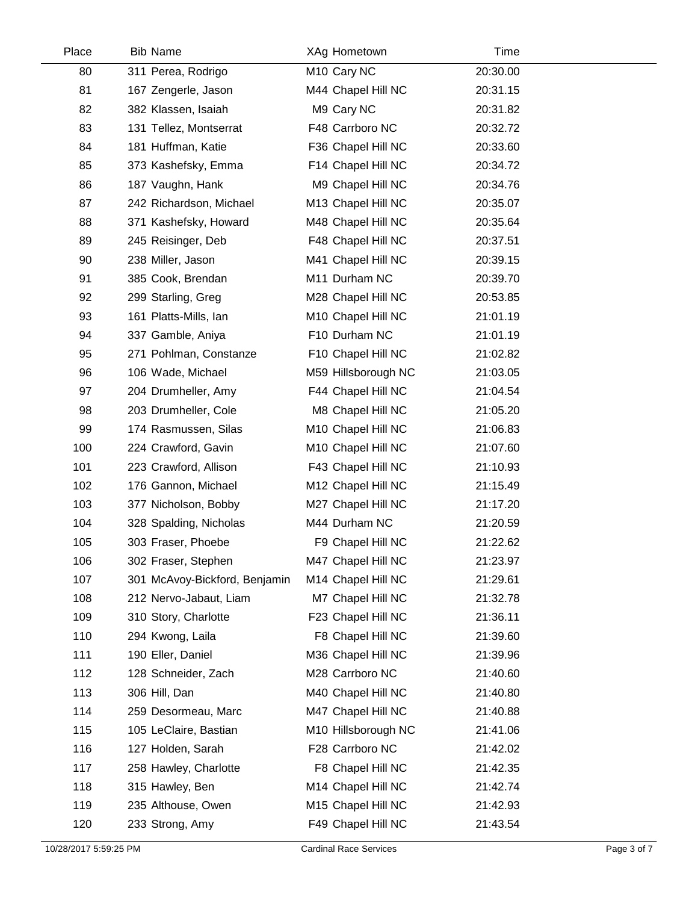| Place | <b>Bib Name</b>               | XAg Hometown            | Time     |  |
|-------|-------------------------------|-------------------------|----------|--|
| 80    | 311 Perea, Rodrigo            | M <sub>10</sub> Cary NC | 20:30.00 |  |
| 81    | 167 Zengerle, Jason           | M44 Chapel Hill NC      | 20:31.15 |  |
| 82    | 382 Klassen, Isaiah           | M9 Cary NC              | 20:31.82 |  |
| 83    | 131 Tellez, Montserrat        | F48 Carrboro NC         | 20:32.72 |  |
| 84    | 181 Huffman, Katie            | F36 Chapel Hill NC      | 20:33.60 |  |
| 85    | 373 Kashefsky, Emma           | F14 Chapel Hill NC      | 20:34.72 |  |
| 86    | 187 Vaughn, Hank              | M9 Chapel Hill NC       | 20:34.76 |  |
| 87    | 242 Richardson, Michael       | M13 Chapel Hill NC      | 20:35.07 |  |
| 88    | 371 Kashefsky, Howard         | M48 Chapel Hill NC      | 20:35.64 |  |
| 89    | 245 Reisinger, Deb            | F48 Chapel Hill NC      | 20:37.51 |  |
| 90    | 238 Miller, Jason             | M41 Chapel Hill NC      | 20:39.15 |  |
| 91    | 385 Cook, Brendan             | M11 Durham NC           | 20:39.70 |  |
| 92    | 299 Starling, Greg            | M28 Chapel Hill NC      | 20:53.85 |  |
| 93    | 161 Platts-Mills, Ian         | M10 Chapel Hill NC      | 21:01.19 |  |
| 94    | 337 Gamble, Aniya             | F10 Durham NC           | 21:01.19 |  |
| 95    | 271 Pohlman, Constanze        | F10 Chapel Hill NC      | 21:02.82 |  |
| 96    | 106 Wade, Michael             | M59 Hillsborough NC     | 21:03.05 |  |
| 97    | 204 Drumheller, Amy           | F44 Chapel Hill NC      | 21:04.54 |  |
| 98    | 203 Drumheller, Cole          | M8 Chapel Hill NC       | 21:05.20 |  |
| 99    | 174 Rasmussen, Silas          | M10 Chapel Hill NC      | 21:06.83 |  |
| 100   | 224 Crawford, Gavin           | M10 Chapel Hill NC      | 21:07.60 |  |
| 101   | 223 Crawford, Allison         | F43 Chapel Hill NC      | 21:10.93 |  |
| 102   | 176 Gannon, Michael           | M12 Chapel Hill NC      | 21:15.49 |  |
| 103   | 377 Nicholson, Bobby          | M27 Chapel Hill NC      | 21:17.20 |  |
| 104   | 328 Spalding, Nicholas        | M44 Durham NC           | 21:20.59 |  |
| 105   | 303 Fraser, Phoebe            | F9 Chapel Hill NC       | 21:22.62 |  |
| 106   | 302 Fraser, Stephen           | M47 Chapel Hill NC      | 21:23.97 |  |
| 107   | 301 McAvoy-Bickford, Benjamin | M14 Chapel Hill NC      | 21:29.61 |  |
| 108   | 212 Nervo-Jabaut, Liam        | M7 Chapel Hill NC       | 21:32.78 |  |
| 109   | 310 Story, Charlotte          | F23 Chapel Hill NC      | 21:36.11 |  |
| 110   | 294 Kwong, Laila              | F8 Chapel Hill NC       | 21:39.60 |  |
| 111   | 190 Eller, Daniel             | M36 Chapel Hill NC      | 21:39.96 |  |
| 112   | 128 Schneider, Zach           | M28 Carrboro NC         | 21:40.60 |  |
| 113   | 306 Hill, Dan                 | M40 Chapel Hill NC      | 21:40.80 |  |
| 114   | 259 Desormeau, Marc           | M47 Chapel Hill NC      | 21:40.88 |  |
| 115   | 105 LeClaire, Bastian         | M10 Hillsborough NC     | 21:41.06 |  |
| 116   | 127 Holden, Sarah             | F28 Carrboro NC         | 21:42.02 |  |
| 117   | 258 Hawley, Charlotte         | F8 Chapel Hill NC       | 21:42.35 |  |
| 118   | 315 Hawley, Ben               | M14 Chapel Hill NC      | 21:42.74 |  |
| 119   | 235 Althouse, Owen            | M15 Chapel Hill NC      | 21:42.93 |  |
| 120   | 233 Strong, Amy               | F49 Chapel Hill NC      | 21:43.54 |  |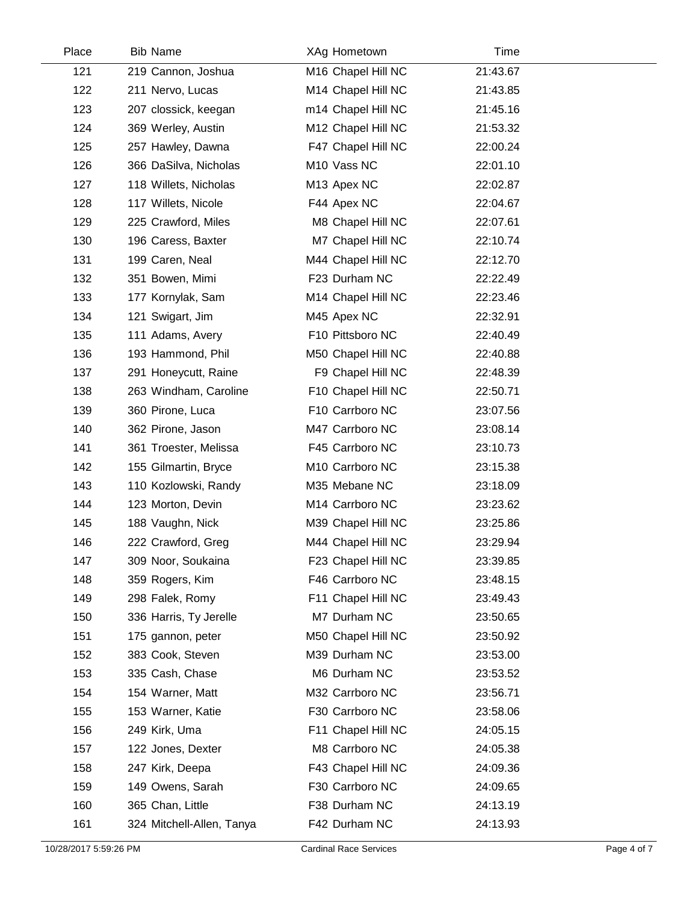| Place | <b>Bib Name</b>           | XAg Hometown            | Time     |  |
|-------|---------------------------|-------------------------|----------|--|
| 121   | 219 Cannon, Joshua        | M16 Chapel Hill NC      | 21:43.67 |  |
| 122   | 211 Nervo, Lucas          | M14 Chapel Hill NC      | 21:43.85 |  |
| 123   | 207 clossick, keegan      | m14 Chapel Hill NC      | 21:45.16 |  |
| 124   | 369 Werley, Austin        | M12 Chapel Hill NC      | 21:53.32 |  |
| 125   | 257 Hawley, Dawna         | F47 Chapel Hill NC      | 22:00.24 |  |
| 126   | 366 DaSilva, Nicholas     | M <sub>10</sub> Vass NC | 22:01.10 |  |
| 127   | 118 Willets, Nicholas     | M13 Apex NC             | 22:02.87 |  |
| 128   | 117 Willets, Nicole       | F44 Apex NC             | 22:04.67 |  |
| 129   | 225 Crawford, Miles       | M8 Chapel Hill NC       | 22:07.61 |  |
| 130   | 196 Caress, Baxter        | M7 Chapel Hill NC       | 22:10.74 |  |
| 131   | 199 Caren, Neal           | M44 Chapel Hill NC      | 22:12.70 |  |
| 132   | 351 Bowen, Mimi           | F23 Durham NC           | 22:22.49 |  |
| 133   | 177 Kornylak, Sam         | M14 Chapel Hill NC      | 22:23.46 |  |
| 134   | 121 Swigart, Jim          | M45 Apex NC             | 22:32.91 |  |
| 135   | 111 Adams, Avery          | F10 Pittsboro NC        | 22:40.49 |  |
| 136   | 193 Hammond, Phil         | M50 Chapel Hill NC      | 22:40.88 |  |
| 137   | 291 Honeycutt, Raine      | F9 Chapel Hill NC       | 22:48.39 |  |
| 138   | 263 Windham, Caroline     | F10 Chapel Hill NC      | 22:50.71 |  |
| 139   | 360 Pirone, Luca          | F10 Carrboro NC         | 23:07.56 |  |
| 140   | 362 Pirone, Jason         | M47 Carrboro NC         | 23:08.14 |  |
| 141   | 361 Troester, Melissa     | F45 Carrboro NC         | 23:10.73 |  |
| 142   | 155 Gilmartin, Bryce      | M10 Carrboro NC         | 23:15.38 |  |
| 143   | 110 Kozlowski, Randy      | M35 Mebane NC           | 23:18.09 |  |
| 144   | 123 Morton, Devin         | M14 Carrboro NC         | 23:23.62 |  |
| 145   | 188 Vaughn, Nick          | M39 Chapel Hill NC      | 23:25.86 |  |
| 146   | 222 Crawford, Greg        | M44 Chapel Hill NC      | 23:29.94 |  |
| 147   | 309 Noor, Soukaina        | F23 Chapel Hill NC      | 23:39.85 |  |
| 148   | 359 Rogers, Kim           | F46 Carrboro NC         | 23:48.15 |  |
| 149   | 298 Falek, Romy           | F11 Chapel Hill NC      | 23:49.43 |  |
| 150   | 336 Harris, Ty Jerelle    | M7 Durham NC            | 23:50.65 |  |
| 151   | 175 gannon, peter         | M50 Chapel Hill NC      | 23:50.92 |  |
| 152   | 383 Cook, Steven          | M39 Durham NC           | 23:53.00 |  |
| 153   | 335 Cash, Chase           | M6 Durham NC            | 23:53.52 |  |
| 154   | 154 Warner, Matt          | M32 Carrboro NC         | 23:56.71 |  |
| 155   | 153 Warner, Katie         | F30 Carrboro NC         | 23:58.06 |  |
| 156   | 249 Kirk, Uma             | F11 Chapel Hill NC      | 24:05.15 |  |
| 157   | 122 Jones, Dexter         | M8 Carrboro NC          | 24:05.38 |  |
| 158   | 247 Kirk, Deepa           | F43 Chapel Hill NC      | 24:09.36 |  |
| 159   | 149 Owens, Sarah          | F30 Carrboro NC         | 24:09.65 |  |
| 160   | 365 Chan, Little          | F38 Durham NC           | 24:13.19 |  |
| 161   | 324 Mitchell-Allen, Tanya | F42 Durham NC           | 24:13.93 |  |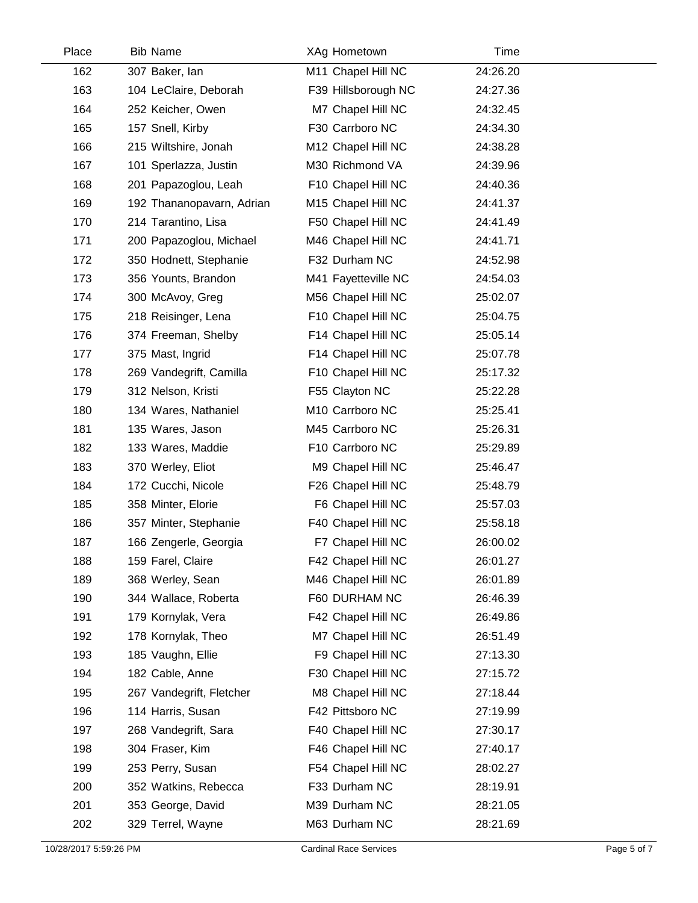| Place | <b>Bib Name</b>           | XAg Hometown        | Time     |  |
|-------|---------------------------|---------------------|----------|--|
| 162   | 307 Baker, lan            | M11 Chapel Hill NC  | 24:26.20 |  |
| 163   | 104 LeClaire, Deborah     | F39 Hillsborough NC | 24:27.36 |  |
| 164   | 252 Keicher, Owen         | M7 Chapel Hill NC   | 24:32.45 |  |
| 165   | 157 Snell, Kirby          | F30 Carrboro NC     | 24:34.30 |  |
| 166   | 215 Wiltshire, Jonah      | M12 Chapel Hill NC  | 24:38.28 |  |
| 167   | 101 Sperlazza, Justin     | M30 Richmond VA     | 24:39.96 |  |
| 168   | 201 Papazoglou, Leah      | F10 Chapel Hill NC  | 24:40.36 |  |
| 169   | 192 Thananopavarn, Adrian | M15 Chapel Hill NC  | 24:41.37 |  |
| 170   | 214 Tarantino, Lisa       | F50 Chapel Hill NC  | 24:41.49 |  |
| 171   | 200 Papazoglou, Michael   | M46 Chapel Hill NC  | 24:41.71 |  |
| 172   | 350 Hodnett, Stephanie    | F32 Durham NC       | 24:52.98 |  |
| 173   | 356 Younts, Brandon       | M41 Fayetteville NC | 24:54.03 |  |
| 174   | 300 McAvoy, Greg          | M56 Chapel Hill NC  | 25:02.07 |  |
| 175   | 218 Reisinger, Lena       | F10 Chapel Hill NC  | 25:04.75 |  |
| 176   | 374 Freeman, Shelby       | F14 Chapel Hill NC  | 25:05.14 |  |
| 177   | 375 Mast, Ingrid          | F14 Chapel Hill NC  | 25:07.78 |  |
| 178   | 269 Vandegrift, Camilla   | F10 Chapel Hill NC  | 25:17.32 |  |
| 179   | 312 Nelson, Kristi        | F55 Clayton NC      | 25:22.28 |  |
| 180   | 134 Wares, Nathaniel      | M10 Carrboro NC     | 25:25.41 |  |
| 181   | 135 Wares, Jason          | M45 Carrboro NC     | 25:26.31 |  |
| 182   | 133 Wares, Maddie         | F10 Carrboro NC     | 25:29.89 |  |
| 183   | 370 Werley, Eliot         | M9 Chapel Hill NC   | 25:46.47 |  |
| 184   | 172 Cucchi, Nicole        | F26 Chapel Hill NC  | 25:48.79 |  |
| 185   | 358 Minter, Elorie        | F6 Chapel Hill NC   | 25:57.03 |  |
| 186   | 357 Minter, Stephanie     | F40 Chapel Hill NC  | 25:58.18 |  |
| 187   | 166 Zengerle, Georgia     | F7 Chapel Hill NC   | 26:00.02 |  |
| 188   | 159 Farel, Claire         | F42 Chapel Hill NC  | 26:01.27 |  |
| 189   | 368 Werley, Sean          | M46 Chapel Hill NC  | 26:01.89 |  |
| 190   | 344 Wallace, Roberta      | F60 DURHAM NC       | 26:46.39 |  |
| 191   | 179 Kornylak, Vera        | F42 Chapel Hill NC  | 26:49.86 |  |
| 192   | 178 Kornylak, Theo        | M7 Chapel Hill NC   | 26:51.49 |  |
| 193   | 185 Vaughn, Ellie         | F9 Chapel Hill NC   | 27:13.30 |  |
| 194   | 182 Cable, Anne           | F30 Chapel Hill NC  | 27:15.72 |  |
| 195   | 267 Vandegrift, Fletcher  | M8 Chapel Hill NC   | 27:18.44 |  |
| 196   | 114 Harris, Susan         | F42 Pittsboro NC    | 27:19.99 |  |
| 197   | 268 Vandegrift, Sara      | F40 Chapel Hill NC  | 27:30.17 |  |
| 198   | 304 Fraser, Kim           | F46 Chapel Hill NC  | 27:40.17 |  |
| 199   | 253 Perry, Susan          | F54 Chapel Hill NC  | 28:02.27 |  |
| 200   | 352 Watkins, Rebecca      | F33 Durham NC       | 28:19.91 |  |
| 201   | 353 George, David         | M39 Durham NC       | 28:21.05 |  |
| 202   | 329 Terrel, Wayne         | M63 Durham NC       | 28:21.69 |  |
|       |                           |                     |          |  |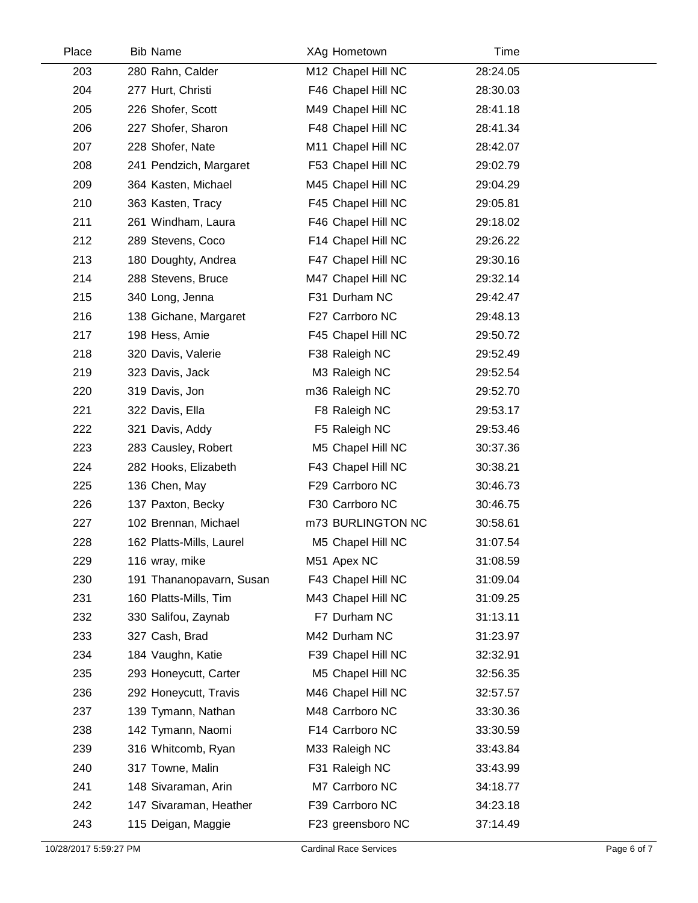| Place | <b>Bib Name</b>          | XAg Hometown       | Time     |  |
|-------|--------------------------|--------------------|----------|--|
| 203   | 280 Rahn, Calder         | M12 Chapel Hill NC | 28:24.05 |  |
| 204   | 277 Hurt, Christi        | F46 Chapel Hill NC | 28:30.03 |  |
| 205   | 226 Shofer, Scott        | M49 Chapel Hill NC | 28:41.18 |  |
| 206   | 227 Shofer, Sharon       | F48 Chapel Hill NC | 28:41.34 |  |
| 207   | 228 Shofer, Nate         | M11 Chapel Hill NC | 28:42.07 |  |
| 208   | 241 Pendzich, Margaret   | F53 Chapel Hill NC | 29:02.79 |  |
| 209   | 364 Kasten, Michael      | M45 Chapel Hill NC | 29:04.29 |  |
| 210   | 363 Kasten, Tracy        | F45 Chapel Hill NC | 29:05.81 |  |
| 211   | 261 Windham, Laura       | F46 Chapel Hill NC | 29:18.02 |  |
| 212   | 289 Stevens, Coco        | F14 Chapel Hill NC | 29:26.22 |  |
| 213   | 180 Doughty, Andrea      | F47 Chapel Hill NC | 29:30.16 |  |
| 214   | 288 Stevens, Bruce       | M47 Chapel Hill NC | 29:32.14 |  |
| 215   | 340 Long, Jenna          | F31 Durham NC      | 29:42.47 |  |
| 216   | 138 Gichane, Margaret    | F27 Carrboro NC    | 29:48.13 |  |
| 217   | 198 Hess, Amie           | F45 Chapel Hill NC | 29:50.72 |  |
| 218   | 320 Davis, Valerie       | F38 Raleigh NC     | 29:52.49 |  |
| 219   | 323 Davis, Jack          | M3 Raleigh NC      | 29:52.54 |  |
| 220   | 319 Davis, Jon           | m36 Raleigh NC     | 29:52.70 |  |
| 221   | 322 Davis, Ella          | F8 Raleigh NC      | 29:53.17 |  |
| 222   | 321 Davis, Addy          | F5 Raleigh NC      | 29:53.46 |  |
| 223   | 283 Causley, Robert      | M5 Chapel Hill NC  | 30:37.36 |  |
| 224   | 282 Hooks, Elizabeth     | F43 Chapel Hill NC | 30:38.21 |  |
| 225   | 136 Chen, May            | F29 Carrboro NC    | 30:46.73 |  |
| 226   | 137 Paxton, Becky        | F30 Carrboro NC    | 30:46.75 |  |
| 227   | 102 Brennan, Michael     | m73 BURLINGTON NC  | 30:58.61 |  |
| 228   | 162 Platts-Mills, Laurel | M5 Chapel Hill NC  | 31:07.54 |  |
| 229   | 116 wray, mike           | M51 Apex NC        | 31:08.59 |  |
| 230   | 191 Thananopavarn, Susan | F43 Chapel Hill NC | 31:09.04 |  |
| 231   | 160 Platts-Mills, Tim    | M43 Chapel Hill NC | 31:09.25 |  |
| 232   | 330 Salifou, Zaynab      | F7 Durham NC       | 31:13.11 |  |
| 233   | 327 Cash, Brad           | M42 Durham NC      | 31:23.97 |  |
| 234   | 184 Vaughn, Katie        | F39 Chapel Hill NC | 32:32.91 |  |
| 235   | 293 Honeycutt, Carter    | M5 Chapel Hill NC  | 32:56.35 |  |
| 236   | 292 Honeycutt, Travis    | M46 Chapel Hill NC | 32:57.57 |  |
| 237   | 139 Tymann, Nathan       | M48 Carrboro NC    | 33:30.36 |  |
| 238   | 142 Tymann, Naomi        | F14 Carrboro NC    | 33:30.59 |  |
| 239   | 316 Whitcomb, Ryan       | M33 Raleigh NC     | 33:43.84 |  |
| 240   | 317 Towne, Malin         | F31 Raleigh NC     | 33:43.99 |  |
| 241   | 148 Sivaraman, Arin      | M7 Carrboro NC     | 34:18.77 |  |
| 242   | 147 Sivaraman, Heather   | F39 Carrboro NC    | 34:23.18 |  |
| 243   | 115 Deigan, Maggie       | F23 greensboro NC  | 37:14.49 |  |